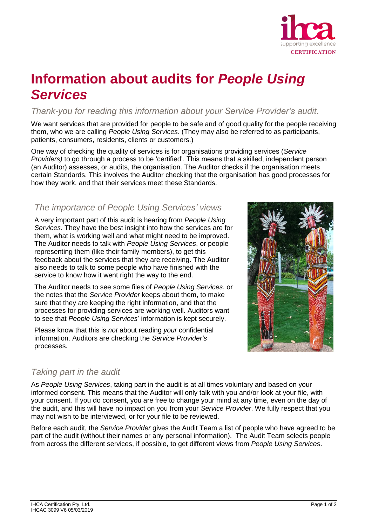

# **Information about audits for** *People Using Services*

## *Thank-you for reading this information about your Service Provider's audit*.

We want services that are provided for people to be safe and of good quality for the people receiving them, who we are calling *People Using Services*. (They may also be referred to as participants, patients, consumers, residents, clients or customers.)

One way of checking the quality of services is for organisations providing services (*Service Providers)* to go through a process to be 'certified'. This means that a skilled, independent person (an Auditor) assesses, or audits, the organisation. The Auditor checks if the organisation meets certain Standards. This involves the Auditor checking that the organisation has good processes for how they work, and that their services meet these Standards.

# *The importance of People Using Services' views*

A very important part of this audit is hearing from *People Using Services*. They have the best insight into how the services are for them, what is working well and what might need to be improved. The Auditor needs to talk with *People Using Services*, or people representing them (like their family members), to get this feedback about the services that they are receiving. The Auditor also needs to talk to some people who have finished with the service to know how it went right the way to the end.

The Auditor needs to see some files of *People Using Services*, or the notes that the *Service Provider* keeps about them, to make sure that they are keeping the right information, and that the processes for providing services are working well. Auditors want to see that *People Using Services*' information is kept securely.

Please know that this is *not* about reading *your* confidential information. Auditors are checking the *Service Provider's* processes.



## *Taking part in the audit*

As *People Using Services*, taking part in the audit is at all times voluntary and based on your informed consent. This means that the Auditor will only talk with you and/or look at your file, with your consent. If you do consent, you are free to change your mind at any time, even on the day of the audit, and this will have no impact on you from your *Service Provider*. We fully respect that you may not wish to be interviewed, or for your file to be reviewed.

Before each audit, the *Service Provider* gives the Audit Team a list of people who have agreed to be part of the audit (without their names or any personal information). The Audit Team selects people from across the different services, if possible, to get different views from *People Using Services*.